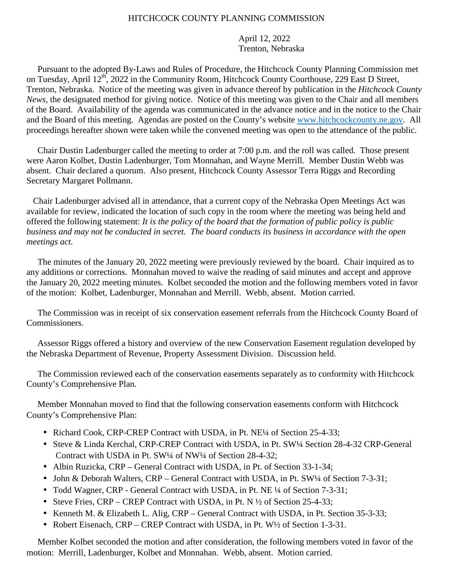## HITCHCOCK COUNTY PLANNING COMMISSION

April 12, 2022 Trenton, Nebraska

 Pursuant to the adopted By-Laws and Rules of Procedure, the Hitchcock County Planning Commission met on Tuesday, April 12<sup>th</sup>, 2022 in the Community Room, Hitchcock County Courthouse, 229 East D Street, Trenton, Nebraska. Notice of the meeting was given in advance thereof by publication in the *Hitchcock County News*, the designated method for giving notice. Notice of this meeting was given to the Chair and all members of the Board. Availability of the agenda was communicated in the advance notice and in the notice to the Chair and the Board of this meeting. Agendas are posted on the County's website www.hitchcockcounty.ne.gov. All proceedings hereafter shown were taken while the convened meeting was open to the attendance of the public.

 Chair Dustin Ladenburger called the meeting to order at 7:00 p.m. and the roll was called. Those present were Aaron Kolbet, Dustin Ladenburger, Tom Monnahan, and Wayne Merrill. Member Dustin Webb was absent. Chair declared a quorum. Also present, Hitchcock County Assessor Terra Riggs and Recording Secretary Margaret Pollmann.

 Chair Ladenburger advised all in attendance, that a current copy of the Nebraska Open Meetings Act was available for review, indicated the location of such copy in the room where the meeting was being held and offered the following statement: *It is the policy of the board that the formation of public policy is public business and may not be conducted in secret. The board conducts its business in accordance with the open meetings act.* 

 The minutes of the January 20, 2022 meeting were previously reviewed by the board. Chair inquired as to any additions or corrections. Monnahan moved to waive the reading of said minutes and accept and approve the January 20, 2022 meeting minutes. Kolbet seconded the motion and the following members voted in favor of the motion: Kolbet, Ladenburger, Monnahan and Merrill. Webb, absent. Motion carried.

 The Commission was in receipt of six conservation easement referrals from the Hitchcock County Board of Commissioners.

 Assessor Riggs offered a history and overview of the new Conservation Easement regulation developed by the Nebraska Department of Revenue, Property Assessment Division. Discussion held.

 The Commission reviewed each of the conservation easements separately as to conformity with Hitchcock County's Comprehensive Plan.

 Member Monnahan moved to find that the following conservation easements conform with Hitchcock County's Comprehensive Plan:

- Richard Cook, CRP-CREP Contract with USDA, in Pt. NE<sup>1</sup>/4 of Section 25-4-33;
- Steve & Linda Kerchal, CRP-CREP Contract with USDA, in Pt. SW1/4 Section 28-4-32 CRP-General Contract with USDA in Pt. SW¼ of NW¼ of Section 28-4-32;
- Albin Ruzicka, CRP General Contract with USDA, in Pt. of Section 33-1-34;
- John & Deborah Walters, CRP General Contract with USDA, in Pt. SW1/4 of Section 7-3-31;
- Todd Wagner, CRP General Contract with USDA, in Pt. NE <sup>1/4</sup> of Section 7-3-31;
- Steve Fries, CRP CREP Contract with USDA, in Pt. N  $\frac{1}{2}$  of Section 25-4-33;
- Kenneth M. & Elizabeth L. Alig, CRP General Contract with USDA, in Pt. Section 35-3-33;
- Robert Eisenach, CRP CREP Contract with USDA, in Pt. W<sup>1</sup>/2 of Section 1-3-31.

 Member Kolbet seconded the motion and after consideration, the following members voted in favor of the motion: Merrill, Ladenburger, Kolbet and Monnahan. Webb, absent. Motion carried.